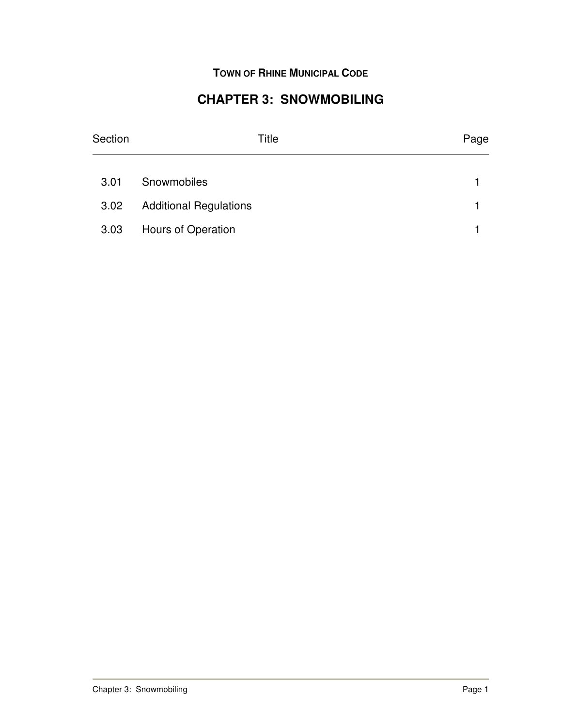**TOWN OF RHINE MUNICIPAL CODE**

## **CHAPTER 3: SNOWMOBILING**

| Section | Title                         | Page |
|---------|-------------------------------|------|
| 3.01    | Snowmobiles                   |      |
| 3.02    | <b>Additional Regulations</b> |      |
| 3.03    | Hours of Operation            |      |